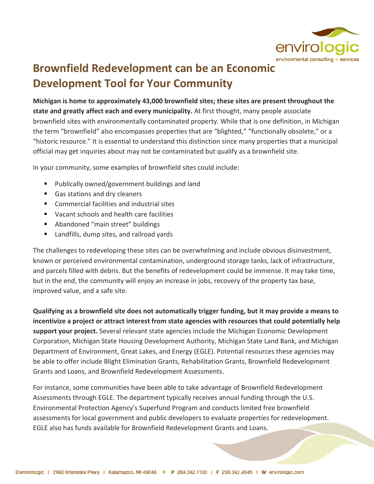

## **Brownfield Redevelopment can be an Economic Development Tool for Your Community**

**Michigan is home to approximately 43,000 brownfield sites; these sites are present throughout the state and greatly affect each and every municipality.** At first thought, many people associate brownfield sites with environmentally contaminated property. While that is one definition, in Michigan the term "brownfield" also encompasses properties that are "blighted," "functionally obsolete," or a "historic resource." It is essential to understand this distinction since many properties that a municipal official may get inquiries about may not be contaminated but qualify as a brownfield site.

In your community, some examples of brownfield sites could include:

- Publically owned/government buildings and land
- Gas stations and dry cleaners
- Commercial facilities and industrial sites
- Vacant schools and health care facilities
- Abandoned "main street" buildings
- Landfills, dump sites, and railroad yards

The challenges to redeveloping these sites can be overwhelming and include obvious disinvestment, known or perceived environmental contamination, underground storage tanks, lack of infrastructure, and parcels filled with debris. But the benefits of redevelopment could be immense. It may take time, but in the end, the community will enjoy an increase in jobs, recovery of the property tax base, improved value, and a safe site.

**Qualifying as a brownfield site does not automatically trigger funding, but it may provide a means to incentivize a project or attract interest from state agencies with resources that could potentially help support your project.** Several relevant state agencies include the Michigan Economic Development Corporation, Michigan State Housing Development Authority, Michigan State Land Bank, and Michigan Department of Environment, Great Lakes, and Energy (EGLE). Potential resources these agencies may be able to offer include Blight Elimination Grants, Rehabilitation Grants, Brownfield Redevelopment Grants and Loans, and Brownfield Redevelopment Assessments.

For instance, some communities have been able to take advantage of Brownfield Redevelopment Assessments through EGLE. The department typically receives annual funding through the U.S. Environmental Protection Agency's Superfund Program and conducts limited free brownfield assessments for local government and public developers to evaluate properties for redevelopment. EGLE also has funds available for Brownfield Redevelopment Grants and Loans.